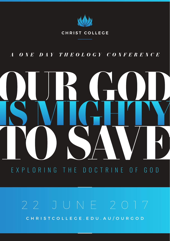

### CHRIST COLLEGE

## *A ONE DAY THEOLOGY CONFERENCE*



# EXPLORING THE DOCTRINE OF GOD

CHRISTCOLLEGE.EDU.AU/OURGOD